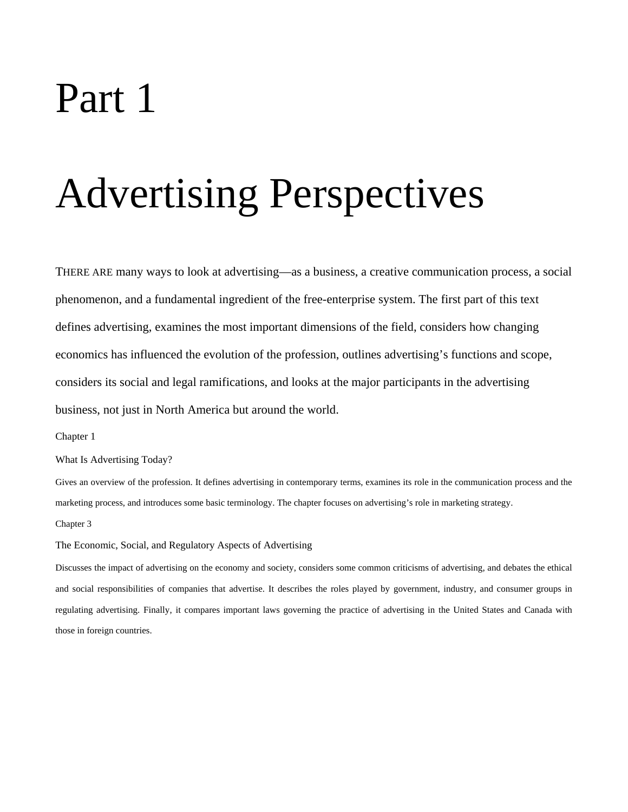# Part 1

# Advertising Perspectives

THERE ARE many ways to look at advertising—as a business, a creative communication process, a social phenomenon, and a fundamental ingredient of the free-enterprise system. The first part of this text defines advertising, examines the most important dimensions of the field, considers how changing economics has influenced the evolution of the profession, outlines advertising's functions and scope, considers its social and legal ramifications, and looks at the major participants in the advertising business, not just in North America but around the world.

Chapter 1

What Is Advertising Today?

Gives an overview of the profession. It defines advertising in contemporary terms, examines its role in the communication process and the marketing process, and introduces some basic terminology. The chapter focuses on advertising's role in marketing strategy. Chapter 3

The Economic, Social, and Regulatory Aspects of Advertising

Discusses the impact of advertising on the economy and society, considers some common criticisms of advertising, and debates the ethical and social responsibilities of companies that advertise. It describes the roles played by government, industry, and consumer groups in regulating advertising. Finally, it compares important laws governing the practice of advertising in the United States and Canada with those in foreign countries.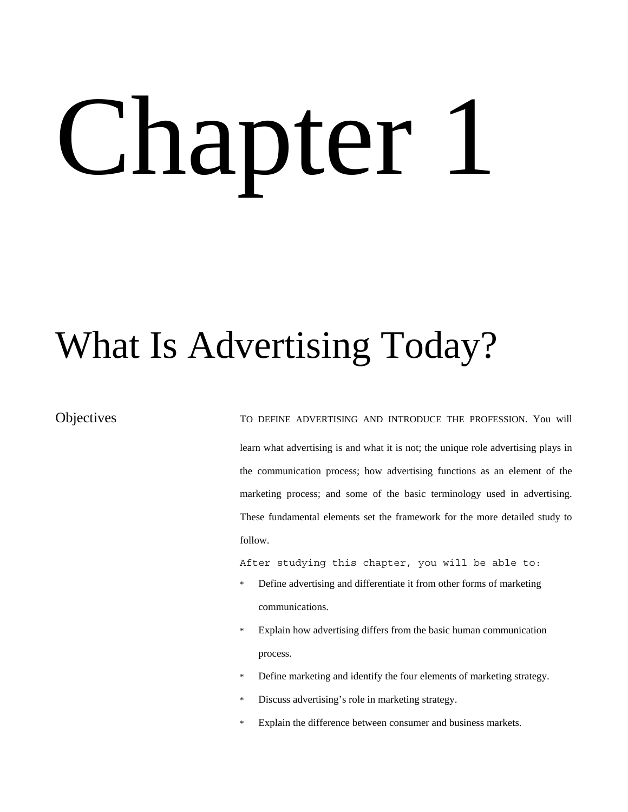# Chapter 1

# What Is Advertising Today?

Objectives TO DEFINE ADVERTISING AND INTRODUCE THE PROFESSION. You will learn what advertising is and what it is not; the unique role advertising plays in the communication process; how advertising functions as an element of the marketing process; and some of the basic terminology used in advertising. These fundamental elements set the framework for the more detailed study to follow.

After studying this chapter, you will be able to:

- Define advertising and differentiate it from other forms of marketing communications.
- \* Explain how advertising differs from the basic human communication process.
- Define marketing and identify the four elements of marketing strategy.
- Discuss advertising's role in marketing strategy.
- Explain the difference between consumer and business markets.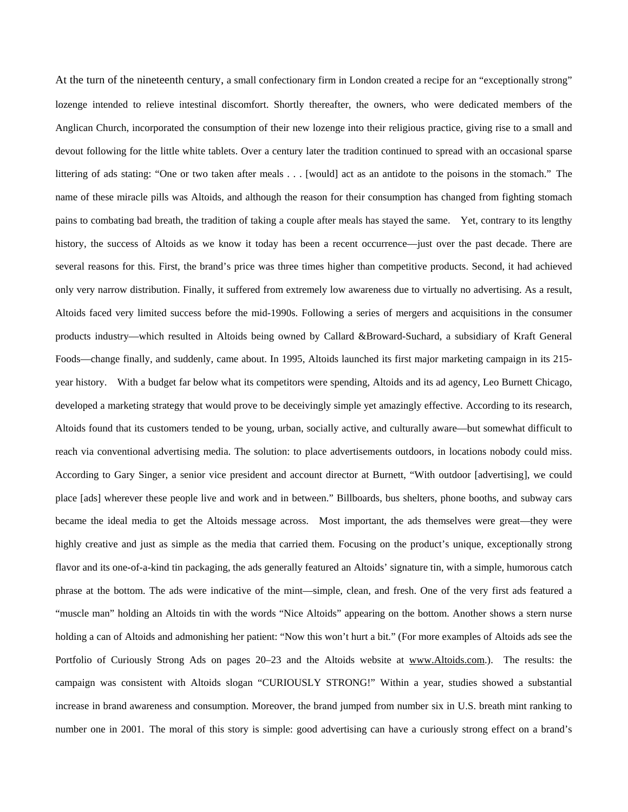At the turn of the nineteenth century, a small confectionary firm in London created a recipe for an "exceptionally strong" lozenge intended to relieve intestinal discomfort. Shortly thereafter, the owners, who were dedicated members of the Anglican Church, incorporated the consumption of their new lozenge into their religious practice, giving rise to a small and devout following for the little white tablets. Over a century later the tradition continued to spread with an occasional sparse littering of ads stating: "One or two taken after meals . . . [would] act as an antidote to the poisons in the stomach." The name of these miracle pills was Altoids, and although the reason for their consumption has changed from fighting stomach pains to combating bad breath, the tradition of taking a couple after meals has stayed the same. Yet, contrary to its lengthy history, the success of Altoids as we know it today has been a recent occurrence—just over the past decade. There are several reasons for this. First, the brand's price was three times higher than competitive products. Second, it had achieved only very narrow distribution. Finally, it suffered from extremely low awareness due to virtually no advertising. As a result, Altoids faced very limited success before the mid-1990s. Following a series of mergers and acquisitions in the consumer products industry—which resulted in Altoids being owned by Callard &Broward-Suchard, a subsidiary of Kraft General Foods—change finally, and suddenly, came about. In 1995, Altoids launched its first major marketing campaign in its 215 year history. With a budget far below what its competitors were spending, Altoids and its ad agency, Leo Burnett Chicago, developed a marketing strategy that would prove to be deceivingly simple yet amazingly effective. According to its research, Altoids found that its customers tended to be young, urban, socially active, and culturally aware—but somewhat difficult to reach via conventional advertising media. The solution: to place advertisements outdoors, in locations nobody could miss. According to Gary Singer, a senior vice president and account director at Burnett, "With outdoor [advertising], we could place [ads] wherever these people live and work and in between." Billboards, bus shelters, phone booths, and subway cars became the ideal media to get the Altoids message across. Most important, the ads themselves were great—they were highly creative and just as simple as the media that carried them. Focusing on the product's unique, exceptionally strong flavor and its one-of-a-kind tin packaging, the ads generally featured an Altoids' signature tin, with a simple, humorous catch phrase at the bottom. The ads were indicative of the mint—simple, clean, and fresh. One of the very first ads featured a "muscle man" holding an Altoids tin with the words "Nice Altoids" appearing on the bottom. Another shows a stern nurse holding a can of Altoids and admonishing her patient: "Now this won't hurt a bit." (For more examples of Altoids ads see the Portfolio of Curiously Strong Ads on pages 20–23 and the Altoids website at www.Altoids.com.). The results: the campaign was consistent with Altoids slogan "CURIOUSLY STRONG!" Within a year, studies showed a substantial increase in brand awareness and consumption. Moreover, the brand jumped from number six in U.S. breath mint ranking to number one in 2001. The moral of this story is simple: good advertising can have a curiously strong effect on a brand's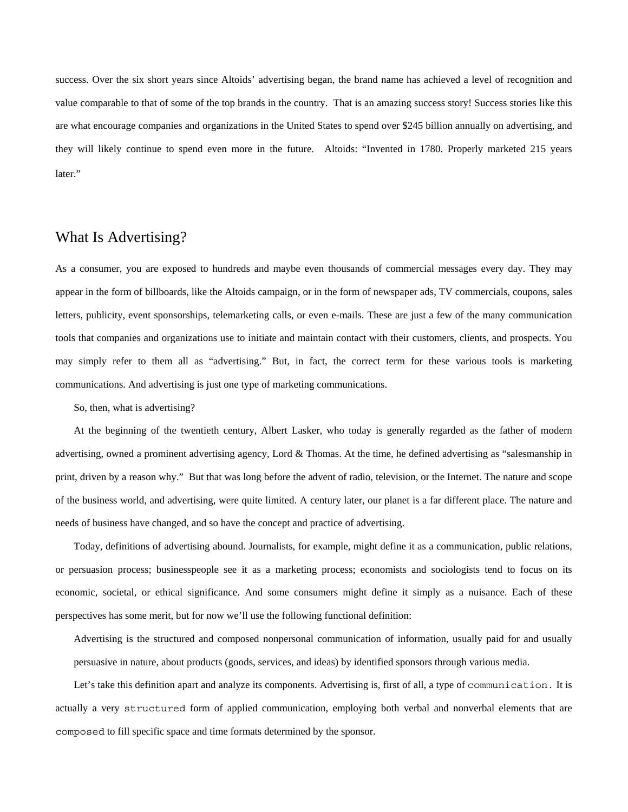success. Over the six short years since Altoids' advertising began, the brand name has achieved a level of recognition and value comparable to that of some of the top brands in the country. That is an amazing success story! Success stories like this are what encourage companies and organizations in the United States to spend over \$245 billion annually on advertising, and they will likely continue to spend even more in the future. Altoids: "Invented in 1780. Properly marketed 215 years later."

# What Is Advertising?

As a consumer, you are exposed to hundreds and maybe even thousands of commercial messages every day. They may appear in the form of billboards, like the Altoids campaign, or in the form of newspaper ads, TV commercials, coupons, sales letters, publicity, event sponsorships, telemarketing calls, or even e-mails. These are just a few of the many communication tools that companies and organizations use to initiate and maintain contact with their customers, clients, and prospects. You may simply refer to them all as "advertising." But, in fact, the correct term for these various tools is marketing communications. And advertising is just one type of marketing communications.

So, then, what is advertising?

At the beginning of the twentieth century, Albert Lasker, who today is generally regarded as the father of modern advertising, owned a prominent advertising agency, Lord & Thomas. At the time, he defined advertising as "salesmanship in print, driven by a reason why." But that was long before the advent of radio, television, or the Internet. The nature and scope of the business world, and advertising, were quite limited. A century later, our planet is a far different place. The nature and needs of business have changed, and so have the concept and practice of advertising.

Today, definitions of advertising abound. Journalists, for example, might define it as a communication, public relations, or persuasion process; businesspeople see it as a marketing process; economists and sociologists tend to focus on its economic, societal, or ethical significance. And some consumers might define it simply as a nuisance. Each of these perspectives has some merit, but for now we'll use the following functional definition:

Advertising is the structured and composed nonpersonal communication of information, usually paid for and usually persuasive in nature, about products (goods, services, and ideas) by identified sponsors through various media.

Let's take this definition apart and analyze its components. Advertising is, first of all, a type of communication. It is actually a very structured form of applied communication, employing both verbal and nonverbal elements that are composed to fill specific space and time formats determined by the sponsor.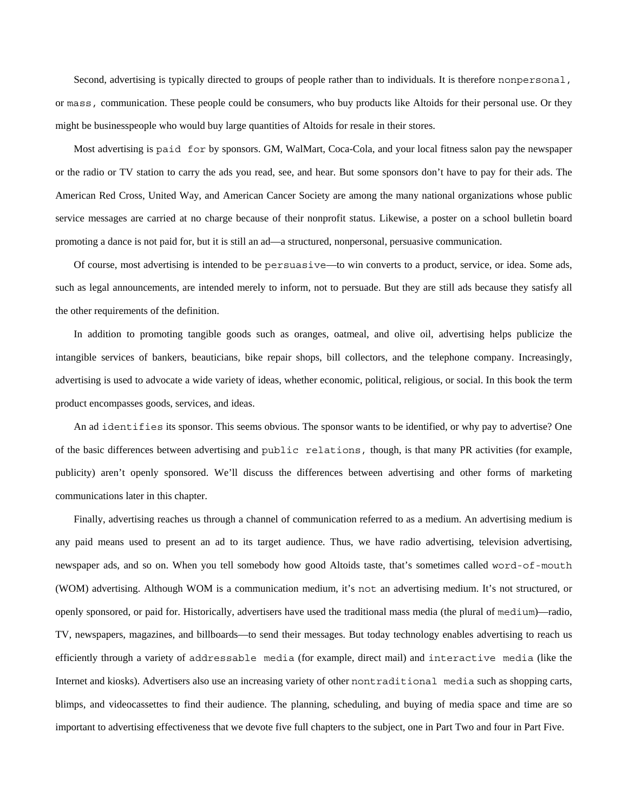Second, advertising is typically directed to groups of people rather than to individuals. It is therefore nonpersonal, or mass, communication. These people could be consumers, who buy products like Altoids for their personal use. Or they might be businesspeople who would buy large quantities of Altoids for resale in their stores.

Most advertising is paid for by sponsors. GM, WalMart, Coca-Cola, and your local fitness salon pay the newspaper or the radio or TV station to carry the ads you read, see, and hear. But some sponsors don't have to pay for their ads. The American Red Cross, United Way, and American Cancer Society are among the many national organizations whose public service messages are carried at no charge because of their nonprofit status. Likewise, a poster on a school bulletin board promoting a dance is not paid for, but it is still an ad—a structured, nonpersonal, persuasive communication.

Of course, most advertising is intended to be persuasive—to win converts to a product, service, or idea. Some ads, such as legal announcements, are intended merely to inform, not to persuade. But they are still ads because they satisfy all the other requirements of the definition.

In addition to promoting tangible goods such as oranges, oatmeal, and olive oil, advertising helps publicize the intangible services of bankers, beauticians, bike repair shops, bill collectors, and the telephone company. Increasingly, advertising is used to advocate a wide variety of ideas, whether economic, political, religious, or social. In this book the term product encompasses goods, services, and ideas.

An ad identifies its sponsor. This seems obvious. The sponsor wants to be identified, or why pay to advertise? One of the basic differences between advertising and public relations, though, is that many PR activities (for example, publicity) aren't openly sponsored. We'll discuss the differences between advertising and other forms of marketing communications later in this chapter.

Finally, advertising reaches us through a channel of communication referred to as a medium. An advertising medium is any paid means used to present an ad to its target audience. Thus, we have radio advertising, television advertising, newspaper ads, and so on. When you tell somebody how good Altoids taste, that's sometimes called word-of-mouth (WOM) advertising. Although WOM is a communication medium, it's not an advertising medium. It's not structured, or openly sponsored, or paid for. Historically, advertisers have used the traditional mass media (the plural of medium)—radio, TV, newspapers, magazines, and billboards—to send their messages. But today technology enables advertising to reach us efficiently through a variety of addressable media (for example, direct mail) and interactive media (like the Internet and kiosks). Advertisers also use an increasing variety of other nontraditional media such as shopping carts, blimps, and videocassettes to find their audience. The planning, scheduling, and buying of media space and time are so important to advertising effectiveness that we devote five full chapters to the subject, one in Part Two and four in Part Five.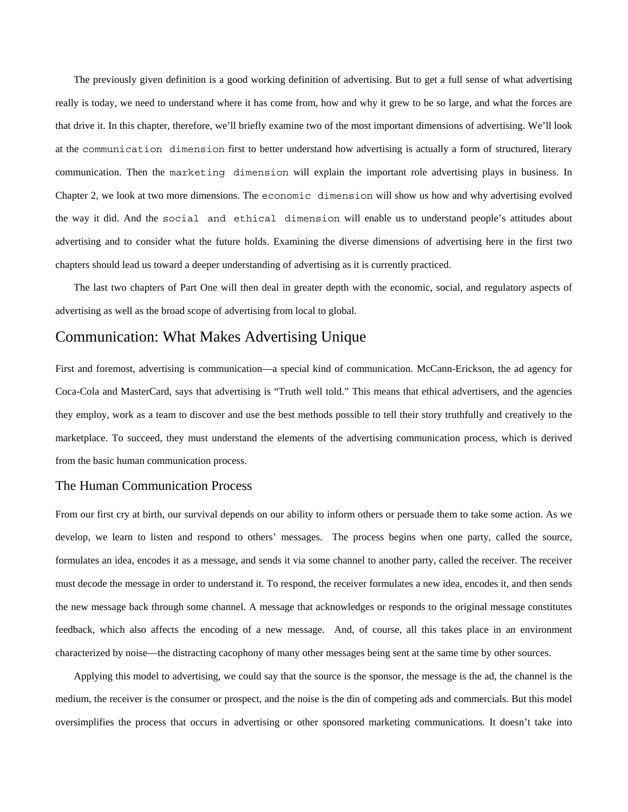The previously given definition is a good working definition of advertising. But to get a full sense of what advertising really is today, we need to understand where it has come from, how and why it grew to be so large, and what the forces are that drive it. In this chapter, therefore, we'll briefly examine two of the most important dimensions of advertising. We'll look at the communication dimension first to better understand how advertising is actually a form of structured, literary communication. Then the marketing dimension will explain the important role advertising plays in business. In Chapter 2, we look at two more dimensions. The economic dimension will show us how and why advertising evolved the way it did. And the social and ethical dimension will enable us to understand people's attitudes about advertising and to consider what the future holds. Examining the diverse dimensions of advertising here in the first two chapters should lead us toward a deeper understanding of advertising as it is currently practiced.

The last two chapters of Part One will then deal in greater depth with the economic, social, and regulatory aspects of advertising as well as the broad scope of advertising from local to global.

# Communication: What Makes Advertising Unique

First and foremost, advertising is communication—a special kind of communication. McCann-Erickson, the ad agency for Coca-Cola and MasterCard, says that advertising is "Truth well told." This means that ethical advertisers, and the agencies they employ, work as a team to discover and use the best methods possible to tell their story truthfully and creatively to the marketplace. To succeed, they must understand the elements of the advertising communication process, which is derived from the basic human communication process.

#### The Human Communication Process

From our first cry at birth, our survival depends on our ability to inform others or persuade them to take some action. As we develop, we learn to listen and respond to others' messages. The process begins when one party, called the source, formulates an idea, encodes it as a message, and sends it via some channel to another party, called the receiver. The receiver must decode the message in order to understand it. To respond, the receiver formulates a new idea, encodes it, and then sends the new message back through some channel. A message that acknowledges or responds to the original message constitutes feedback, which also affects the encoding of a new message. And, of course, all this takes place in an environment characterized by noise—the distracting cacophony of many other messages being sent at the same time by other sources.

Applying this model to advertising, we could say that the source is the sponsor, the message is the ad, the channel is the medium, the receiver is the consumer or prospect, and the noise is the din of competing ads and commercials. But this model oversimplifies the process that occurs in advertising or other sponsored marketing communications. It doesn't take into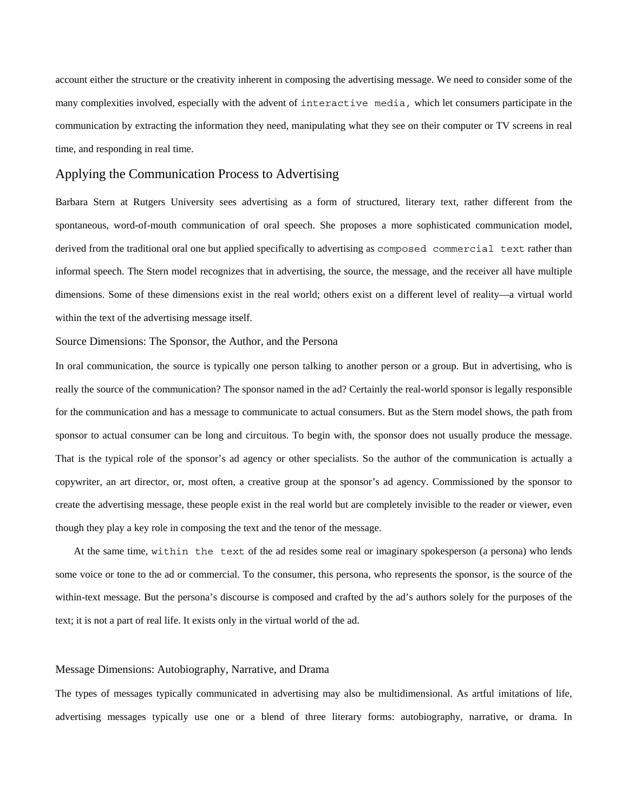account either the structure or the creativity inherent in composing the advertising message. We need to consider some of the many complexities involved, especially with the advent of interactive media, which let consumers participate in the communication by extracting the information they need, manipulating what they see on their computer or TV screens in real time, and responding in real time.

#### Applying the Communication Process to Advertising

Barbara Stern at Rutgers University sees advertising as a form of structured, literary text, rather different from the spontaneous, word-of-mouth communication of oral speech. She proposes a more sophisticated communication model, derived from the traditional oral one but applied specifically to advertising as composed commercial text rather than informal speech. The Stern model recognizes that in advertising, the source, the message, and the receiver all have multiple dimensions. Some of these dimensions exist in the real world; others exist on a different level of reality—a virtual world within the text of the advertising message itself.

Source Dimensions: The Sponsor, the Author, and the Persona

In oral communication, the source is typically one person talking to another person or a group. But in advertising, who is really the source of the communication? The sponsor named in the ad? Certainly the real-world sponsor is legally responsible for the communication and has a message to communicate to actual consumers. But as the Stern model shows, the path from sponsor to actual consumer can be long and circuitous. To begin with, the sponsor does not usually produce the message. That is the typical role of the sponsor's ad agency or other specialists. So the author of the communication is actually a copywriter, an art director, or, most often, a creative group at the sponsor's ad agency. Commissioned by the sponsor to create the advertising message, these people exist in the real world but are completely invisible to the reader or viewer, even though they play a key role in composing the text and the tenor of the message.

At the same time, within the text of the ad resides some real or imaginary spokesperson (a persona) who lends some voice or tone to the ad or commercial. To the consumer, this persona, who represents the sponsor, is the source of the within-text message. But the persona's discourse is composed and crafted by the ad's authors solely for the purposes of the text; it is not a part of real life. It exists only in the virtual world of the ad.

#### Message Dimensions: Autobiography, Narrative, and Drama

The types of messages typically communicated in advertising may also be multidimensional. As artful imitations of life, advertising messages typically use one or a blend of three literary forms: autobiography, narrative, or drama. In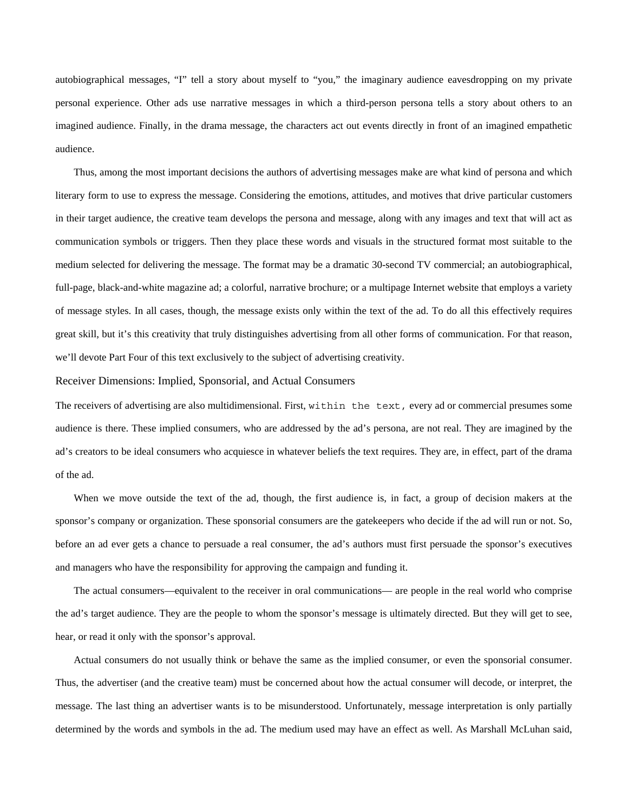autobiographical messages, "I" tell a story about myself to "you," the imaginary audience eavesdropping on my private personal experience. Other ads use narrative messages in which a third-person persona tells a story about others to an imagined audience. Finally, in the drama message, the characters act out events directly in front of an imagined empathetic audience.

Thus, among the most important decisions the authors of advertising messages make are what kind of persona and which literary form to use to express the message. Considering the emotions, attitudes, and motives that drive particular customers in their target audience, the creative team develops the persona and message, along with any images and text that will act as communication symbols or triggers. Then they place these words and visuals in the structured format most suitable to the medium selected for delivering the message. The format may be a dramatic 30-second TV commercial; an autobiographical, full-page, black-and-white magazine ad; a colorful, narrative brochure; or a multipage Internet website that employs a variety of message styles. In all cases, though, the message exists only within the text of the ad. To do all this effectively requires great skill, but it's this creativity that truly distinguishes advertising from all other forms of communication. For that reason, we'll devote Part Four of this text exclusively to the subject of advertising creativity.

#### Receiver Dimensions: Implied, Sponsorial, and Actual Consumers

The receivers of advertising are also multidimensional. First, within the text, every ad or commercial presumes some audience is there. These implied consumers, who are addressed by the ad's persona, are not real. They are imagined by the ad's creators to be ideal consumers who acquiesce in whatever beliefs the text requires. They are, in effect, part of the drama of the ad.

When we move outside the text of the ad, though, the first audience is, in fact, a group of decision makers at the sponsor's company or organization. These sponsorial consumers are the gatekeepers who decide if the ad will run or not. So, before an ad ever gets a chance to persuade a real consumer, the ad's authors must first persuade the sponsor's executives and managers who have the responsibility for approving the campaign and funding it.

The actual consumers—equivalent to the receiver in oral communications— are people in the real world who comprise the ad's target audience. They are the people to whom the sponsor's message is ultimately directed. But they will get to see, hear, or read it only with the sponsor's approval.

Actual consumers do not usually think or behave the same as the implied consumer, or even the sponsorial consumer. Thus, the advertiser (and the creative team) must be concerned about how the actual consumer will decode, or interpret, the message. The last thing an advertiser wants is to be misunderstood. Unfortunately, message interpretation is only partially determined by the words and symbols in the ad. The medium used may have an effect as well. As Marshall McLuhan said,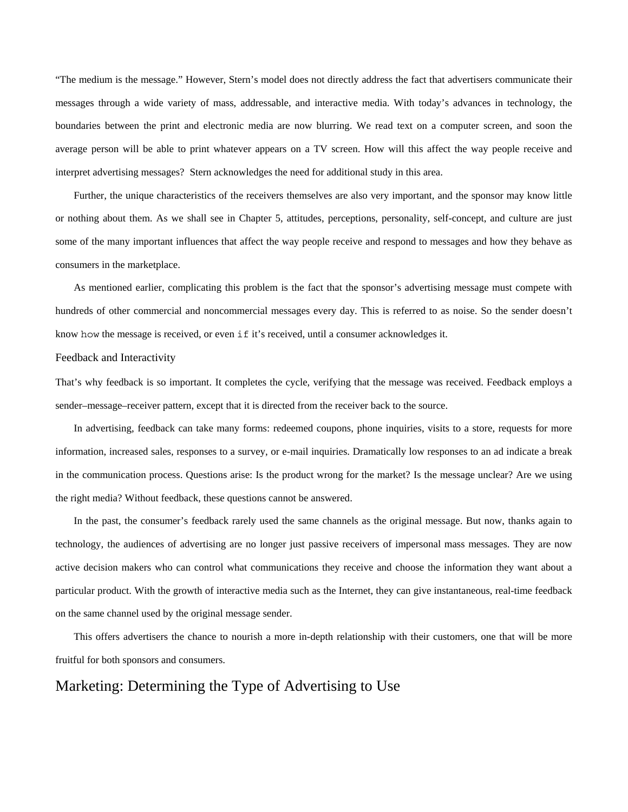"The medium is the message." However, Stern's model does not directly address the fact that advertisers communicate their messages through a wide variety of mass, addressable, and interactive media. With today's advances in technology, the boundaries between the print and electronic media are now blurring. We read text on a computer screen, and soon the average person will be able to print whatever appears on a TV screen. How will this affect the way people receive and interpret advertising messages? Stern acknowledges the need for additional study in this area.

Further, the unique characteristics of the receivers themselves are also very important, and the sponsor may know little or nothing about them. As we shall see in Chapter 5, attitudes, perceptions, personality, self-concept, and culture are just some of the many important influences that affect the way people receive and respond to messages and how they behave as consumers in the marketplace.

As mentioned earlier, complicating this problem is the fact that the sponsor's advertising message must compete with hundreds of other commercial and noncommercial messages every day. This is referred to as noise. So the sender doesn't know how the message is received, or even if it's received, until a consumer acknowledges it.

#### Feedback and Interactivity

That's why feedback is so important. It completes the cycle, verifying that the message was received. Feedback employs a sender–message–receiver pattern, except that it is directed from the receiver back to the source.

In advertising, feedback can take many forms: redeemed coupons, phone inquiries, visits to a store, requests for more information, increased sales, responses to a survey, or e-mail inquiries. Dramatically low responses to an ad indicate a break in the communication process. Questions arise: Is the product wrong for the market? Is the message unclear? Are we using the right media? Without feedback, these questions cannot be answered.

In the past, the consumer's feedback rarely used the same channels as the original message. But now, thanks again to technology, the audiences of advertising are no longer just passive receivers of impersonal mass messages. They are now active decision makers who can control what communications they receive and choose the information they want about a particular product. With the growth of interactive media such as the Internet, they can give instantaneous, real-time feedback on the same channel used by the original message sender.

This offers advertisers the chance to nourish a more in-depth relationship with their customers, one that will be more fruitful for both sponsors and consumers.

# Marketing: Determining the Type of Advertising to Use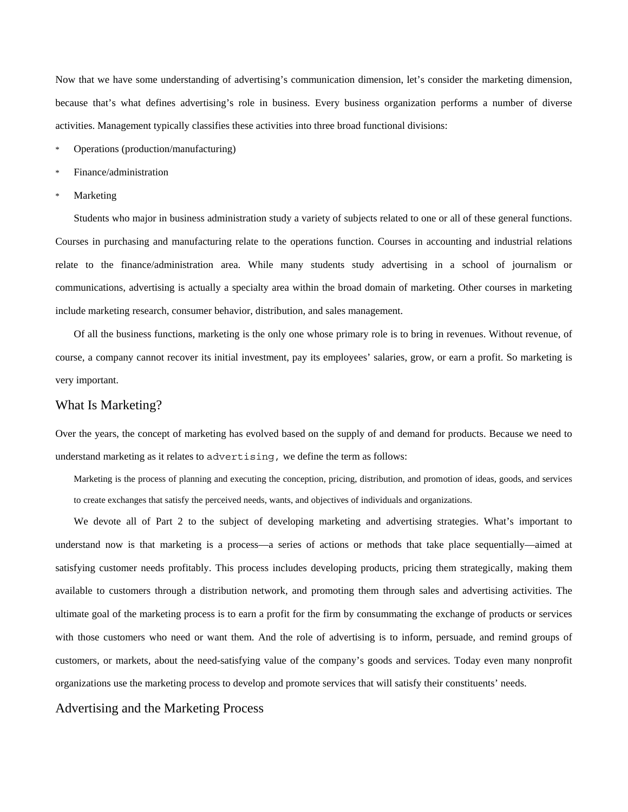Now that we have some understanding of advertising's communication dimension, let's consider the marketing dimension, because that's what defines advertising's role in business. Every business organization performs a number of diverse activities. Management typically classifies these activities into three broad functional divisions:

- Operations (production/manufacturing)
- Finance/administration
- **Marketing**

Students who major in business administration study a variety of subjects related to one or all of these general functions. Courses in purchasing and manufacturing relate to the operations function. Courses in accounting and industrial relations relate to the finance/administration area. While many students study advertising in a school of journalism or communications, advertising is actually a specialty area within the broad domain of marketing. Other courses in marketing include marketing research, consumer behavior, distribution, and sales management.

Of all the business functions, marketing is the only one whose primary role is to bring in revenues. Without revenue, of course, a company cannot recover its initial investment, pay its employees' salaries, grow, or earn a profit. So marketing is very important.

#### What Is Marketing?

Over the years, the concept of marketing has evolved based on the supply of and demand for products. Because we need to understand marketing as it relates to advertising, we define the term as follows:

Marketing is the process of planning and executing the conception, pricing, distribution, and promotion of ideas, goods, and services to create exchanges that satisfy the perceived needs, wants, and objectives of individuals and organizations.

We devote all of Part 2 to the subject of developing marketing and advertising strategies. What's important to understand now is that marketing is a process—a series of actions or methods that take place sequentially—aimed at satisfying customer needs profitably. This process includes developing products, pricing them strategically, making them available to customers through a distribution network, and promoting them through sales and advertising activities. The ultimate goal of the marketing process is to earn a profit for the firm by consummating the exchange of products or services with those customers who need or want them. And the role of advertising is to inform, persuade, and remind groups of customers, or markets, about the need-satisfying value of the company's goods and services. Today even many nonprofit organizations use the marketing process to develop and promote services that will satisfy their constituents' needs.

#### Advertising and the Marketing Process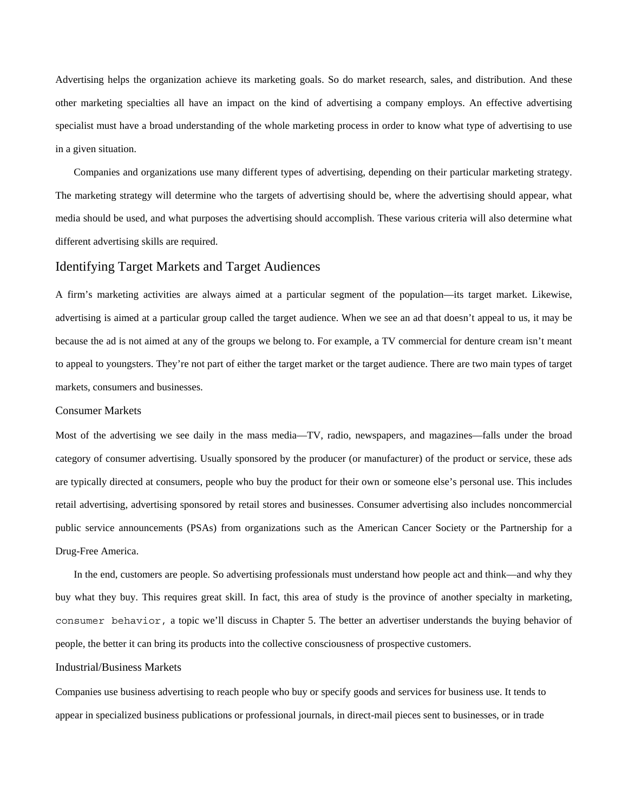Advertising helps the organization achieve its marketing goals. So do market research, sales, and distribution. And these other marketing specialties all have an impact on the kind of advertising a company employs. An effective advertising specialist must have a broad understanding of the whole marketing process in order to know what type of advertising to use in a given situation.

Companies and organizations use many different types of advertising, depending on their particular marketing strategy. The marketing strategy will determine who the targets of advertising should be, where the advertising should appear, what media should be used, and what purposes the advertising should accomplish. These various criteria will also determine what different advertising skills are required.

#### Identifying Target Markets and Target Audiences

A firm's marketing activities are always aimed at a particular segment of the population—its target market. Likewise, advertising is aimed at a particular group called the target audience. When we see an ad that doesn't appeal to us, it may be because the ad is not aimed at any of the groups we belong to. For example, a TV commercial for denture cream isn't meant to appeal to youngsters. They're not part of either the target market or the target audience. There are two main types of target markets, consumers and businesses.

#### Consumer Markets

Most of the advertising we see daily in the mass media—TV, radio, newspapers, and magazines—falls under the broad category of consumer advertising. Usually sponsored by the producer (or manufacturer) of the product or service, these ads are typically directed at consumers, people who buy the product for their own or someone else's personal use. This includes retail advertising, advertising sponsored by retail stores and businesses. Consumer advertising also includes noncommercial public service announcements (PSAs) from organizations such as the American Cancer Society or the Partnership for a Drug-Free America.

In the end, customers are people. So advertising professionals must understand how people act and think—and why they buy what they buy. This requires great skill. In fact, this area of study is the province of another specialty in marketing, consumer behavior, a topic we'll discuss in Chapter 5. The better an advertiser understands the buying behavior of people, the better it can bring its products into the collective consciousness of prospective customers.

#### Industrial/Business Markets

Companies use business advertising to reach people who buy or specify goods and services for business use. It tends to appear in specialized business publications or professional journals, in direct-mail pieces sent to businesses, or in trade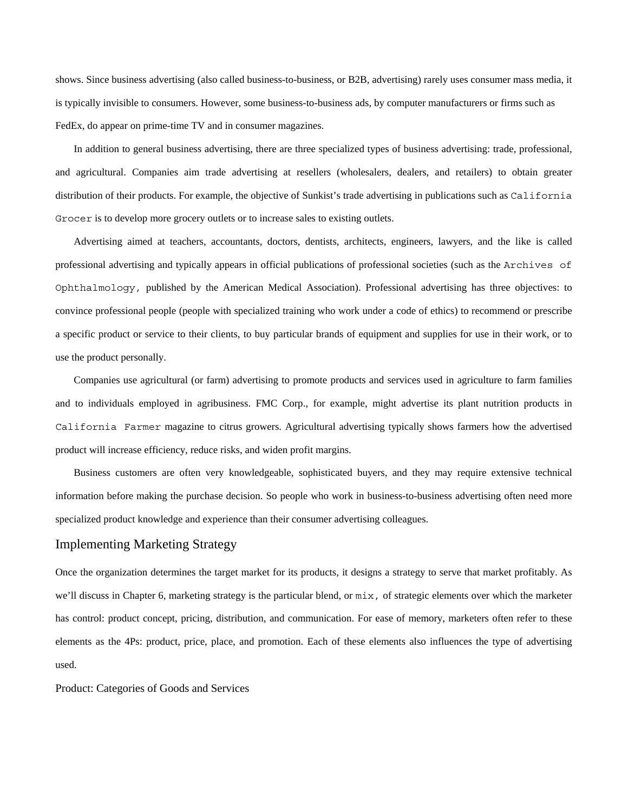shows. Since business advertising (also called business-to-business, or B2B, advertising) rarely uses consumer mass media, it is typically invisible to consumers. However, some business-to-business ads, by computer manufacturers or firms such as FedEx, do appear on prime-time TV and in consumer magazines.

In addition to general business advertising, there are three specialized types of business advertising: trade, professional, and agricultural. Companies aim trade advertising at resellers (wholesalers, dealers, and retailers) to obtain greater distribution of their products. For example, the objective of Sunkist's trade advertising in publications such as California Grocer is to develop more grocery outlets or to increase sales to existing outlets.

Advertising aimed at teachers, accountants, doctors, dentists, architects, engineers, lawyers, and the like is called professional advertising and typically appears in official publications of professional societies (such as the Archives of Ophthalmology, published by the American Medical Association). Professional advertising has three objectives: to convince professional people (people with specialized training who work under a code of ethics) to recommend or prescribe a specific product or service to their clients, to buy particular brands of equipment and supplies for use in their work, or to use the product personally.

Companies use agricultural (or farm) advertising to promote products and services used in agriculture to farm families and to individuals employed in agribusiness. FMC Corp., for example, might advertise its plant nutrition products in California Farmer magazine to citrus growers. Agricultural advertising typically shows farmers how the advertised product will increase efficiency, reduce risks, and widen profit margins.

Business customers are often very knowledgeable, sophisticated buyers, and they may require extensive technical information before making the purchase decision. So people who work in business-to-business advertising often need more specialized product knowledge and experience than their consumer advertising colleagues.

#### Implementing Marketing Strategy

Once the organization determines the target market for its products, it designs a strategy to serve that market profitably. As we'll discuss in Chapter 6, marketing strategy is the particular blend, or mix, of strategic elements over which the marketer has control: product concept, pricing, distribution, and communication. For ease of memory, marketers often refer to these elements as the 4Ps: product, price, place, and promotion. Each of these elements also influences the type of advertising used.

Product: Categories of Goods and Services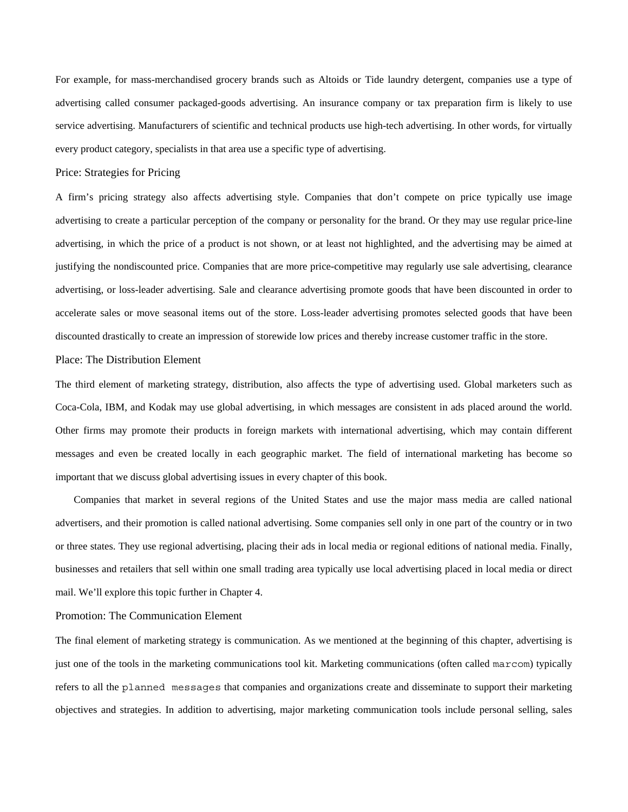For example, for mass-merchandised grocery brands such as Altoids or Tide laundry detergent, companies use a type of advertising called consumer packaged-goods advertising. An insurance company or tax preparation firm is likely to use service advertising. Manufacturers of scientific and technical products use high-tech advertising. In other words, for virtually every product category, specialists in that area use a specific type of advertising.

#### Price: Strategies for Pricing

A firm's pricing strategy also affects advertising style. Companies that don't compete on price typically use image advertising to create a particular perception of the company or personality for the brand. Or they may use regular price-line advertising, in which the price of a product is not shown, or at least not highlighted, and the advertising may be aimed at justifying the nondiscounted price. Companies that are more price-competitive may regularly use sale advertising, clearance advertising, or loss-leader advertising. Sale and clearance advertising promote goods that have been discounted in order to accelerate sales or move seasonal items out of the store. Loss-leader advertising promotes selected goods that have been discounted drastically to create an impression of storewide low prices and thereby increase customer traffic in the store.

#### Place: The Distribution Element

The third element of marketing strategy, distribution, also affects the type of advertising used. Global marketers such as Coca-Cola, IBM, and Kodak may use global advertising, in which messages are consistent in ads placed around the world. Other firms may promote their products in foreign markets with international advertising, which may contain different messages and even be created locally in each geographic market. The field of international marketing has become so important that we discuss global advertising issues in every chapter of this book.

Companies that market in several regions of the United States and use the major mass media are called national advertisers, and their promotion is called national advertising. Some companies sell only in one part of the country or in two or three states. They use regional advertising, placing their ads in local media or regional editions of national media. Finally, businesses and retailers that sell within one small trading area typically use local advertising placed in local media or direct mail. We'll explore this topic further in Chapter 4.

#### Promotion: The Communication Element

The final element of marketing strategy is communication. As we mentioned at the beginning of this chapter, advertising is just one of the tools in the marketing communications tool kit. Marketing communications (often called marcom) typically refers to all the planned messages that companies and organizations create and disseminate to support their marketing objectives and strategies. In addition to advertising, major marketing communication tools include personal selling, sales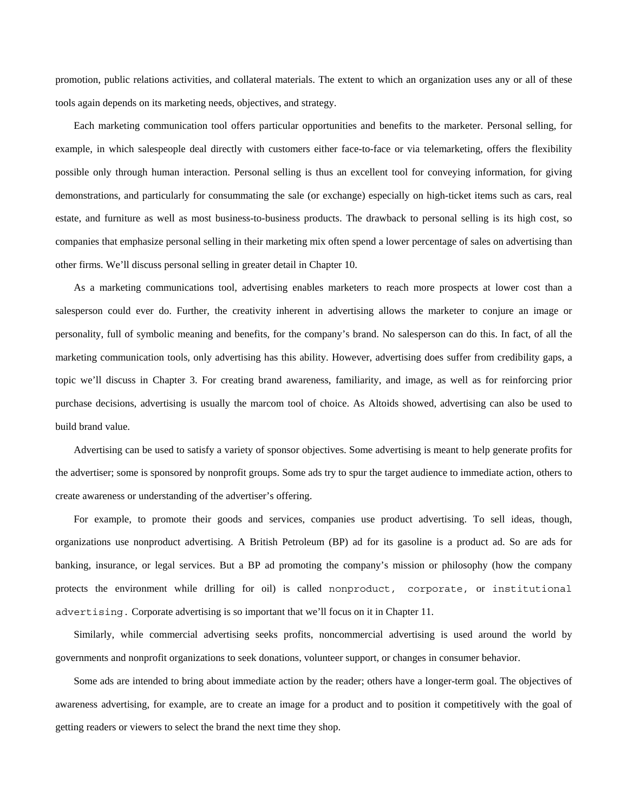promotion, public relations activities, and collateral materials. The extent to which an organization uses any or all of these tools again depends on its marketing needs, objectives, and strategy.

Each marketing communication tool offers particular opportunities and benefits to the marketer. Personal selling, for example, in which salespeople deal directly with customers either face-to-face or via telemarketing, offers the flexibility possible only through human interaction. Personal selling is thus an excellent tool for conveying information, for giving demonstrations, and particularly for consummating the sale (or exchange) especially on high-ticket items such as cars, real estate, and furniture as well as most business-to-business products. The drawback to personal selling is its high cost, so companies that emphasize personal selling in their marketing mix often spend a lower percentage of sales on advertising than other firms. We'll discuss personal selling in greater detail in Chapter 10.

As a marketing communications tool, advertising enables marketers to reach more prospects at lower cost than a salesperson could ever do. Further, the creativity inherent in advertising allows the marketer to conjure an image or personality, full of symbolic meaning and benefits, for the company's brand. No salesperson can do this. In fact, of all the marketing communication tools, only advertising has this ability. However, advertising does suffer from credibility gaps, a topic we'll discuss in Chapter 3. For creating brand awareness, familiarity, and image, as well as for reinforcing prior purchase decisions, advertising is usually the marcom tool of choice. As Altoids showed, advertising can also be used to build brand value.

Advertising can be used to satisfy a variety of sponsor objectives. Some advertising is meant to help generate profits for the advertiser; some is sponsored by nonprofit groups. Some ads try to spur the target audience to immediate action, others to create awareness or understanding of the advertiser's offering.

For example, to promote their goods and services, companies use product advertising. To sell ideas, though, organizations use nonproduct advertising. A British Petroleum (BP) ad for its gasoline is a product ad. So are ads for banking, insurance, or legal services. But a BP ad promoting the company's mission or philosophy (how the company protects the environment while drilling for oil) is called nonproduct, corporate, or institutional advertising. Corporate advertising is so important that we'll focus on it in Chapter 11.

Similarly, while commercial advertising seeks profits, noncommercial advertising is used around the world by governments and nonprofit organizations to seek donations, volunteer support, or changes in consumer behavior.

Some ads are intended to bring about immediate action by the reader; others have a longer-term goal. The objectives of awareness advertising, for example, are to create an image for a product and to position it competitively with the goal of getting readers or viewers to select the brand the next time they shop.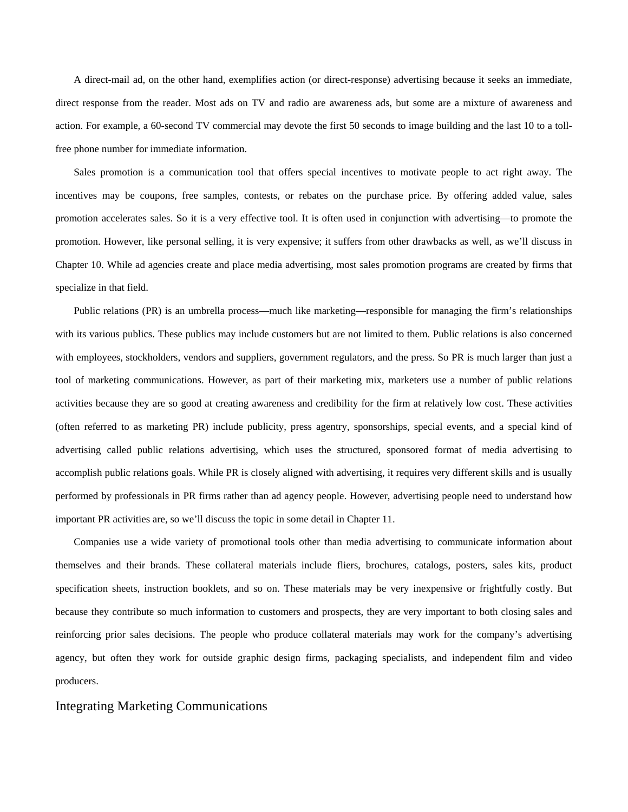A direct-mail ad, on the other hand, exemplifies action (or direct-response) advertising because it seeks an immediate, direct response from the reader. Most ads on TV and radio are awareness ads, but some are a mixture of awareness and action. For example, a 60-second TV commercial may devote the first 50 seconds to image building and the last 10 to a tollfree phone number for immediate information.

Sales promotion is a communication tool that offers special incentives to motivate people to act right away. The incentives may be coupons, free samples, contests, or rebates on the purchase price. By offering added value, sales promotion accelerates sales. So it is a very effective tool. It is often used in conjunction with advertising—to promote the promotion. However, like personal selling, it is very expensive; it suffers from other drawbacks as well, as we'll discuss in Chapter 10. While ad agencies create and place media advertising, most sales promotion programs are created by firms that specialize in that field.

Public relations (PR) is an umbrella process—much like marketing—responsible for managing the firm's relationships with its various publics. These publics may include customers but are not limited to them. Public relations is also concerned with employees, stockholders, vendors and suppliers, government regulators, and the press. So PR is much larger than just a tool of marketing communications. However, as part of their marketing mix, marketers use a number of public relations activities because they are so good at creating awareness and credibility for the firm at relatively low cost. These activities (often referred to as marketing PR) include publicity, press agentry, sponsorships, special events, and a special kind of advertising called public relations advertising, which uses the structured, sponsored format of media advertising to accomplish public relations goals. While PR is closely aligned with advertising, it requires very different skills and is usually performed by professionals in PR firms rather than ad agency people. However, advertising people need to understand how important PR activities are, so we'll discuss the topic in some detail in Chapter 11.

Companies use a wide variety of promotional tools other than media advertising to communicate information about themselves and their brands. These collateral materials include fliers, brochures, catalogs, posters, sales kits, product specification sheets, instruction booklets, and so on. These materials may be very inexpensive or frightfully costly. But because they contribute so much information to customers and prospects, they are very important to both closing sales and reinforcing prior sales decisions. The people who produce collateral materials may work for the company's advertising agency, but often they work for outside graphic design firms, packaging specialists, and independent film and video producers.

#### Integrating Marketing Communications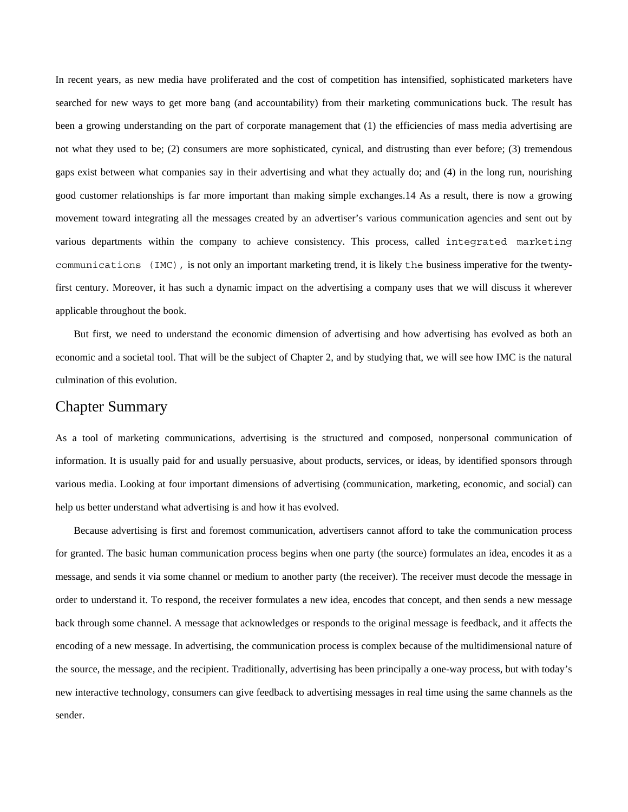In recent years, as new media have proliferated and the cost of competition has intensified, sophisticated marketers have searched for new ways to get more bang (and accountability) from their marketing communications buck. The result has been a growing understanding on the part of corporate management that (1) the efficiencies of mass media advertising are not what they used to be; (2) consumers are more sophisticated, cynical, and distrusting than ever before; (3) tremendous gaps exist between what companies say in their advertising and what they actually do; and (4) in the long run, nourishing good customer relationships is far more important than making simple exchanges.14 As a result, there is now a growing movement toward integrating all the messages created by an advertiser's various communication agencies and sent out by various departments within the company to achieve consistency. This process, called integrated marketing communications (IMC), is not only an important marketing trend, it is likely the business imperative for the twentyfirst century. Moreover, it has such a dynamic impact on the advertising a company uses that we will discuss it wherever applicable throughout the book.

But first, we need to understand the economic dimension of advertising and how advertising has evolved as both an economic and a societal tool. That will be the subject of Chapter 2, and by studying that, we will see how IMC is the natural culmination of this evolution.

## Chapter Summary

As a tool of marketing communications, advertising is the structured and composed, nonpersonal communication of information. It is usually paid for and usually persuasive, about products, services, or ideas, by identified sponsors through various media. Looking at four important dimensions of advertising (communication, marketing, economic, and social) can help us better understand what advertising is and how it has evolved.

Because advertising is first and foremost communication, advertisers cannot afford to take the communication process for granted. The basic human communication process begins when one party (the source) formulates an idea, encodes it as a message, and sends it via some channel or medium to another party (the receiver). The receiver must decode the message in order to understand it. To respond, the receiver formulates a new idea, encodes that concept, and then sends a new message back through some channel. A message that acknowledges or responds to the original message is feedback, and it affects the encoding of a new message. In advertising, the communication process is complex because of the multidimensional nature of the source, the message, and the recipient. Traditionally, advertising has been principally a one-way process, but with today's new interactive technology, consumers can give feedback to advertising messages in real time using the same channels as the sender.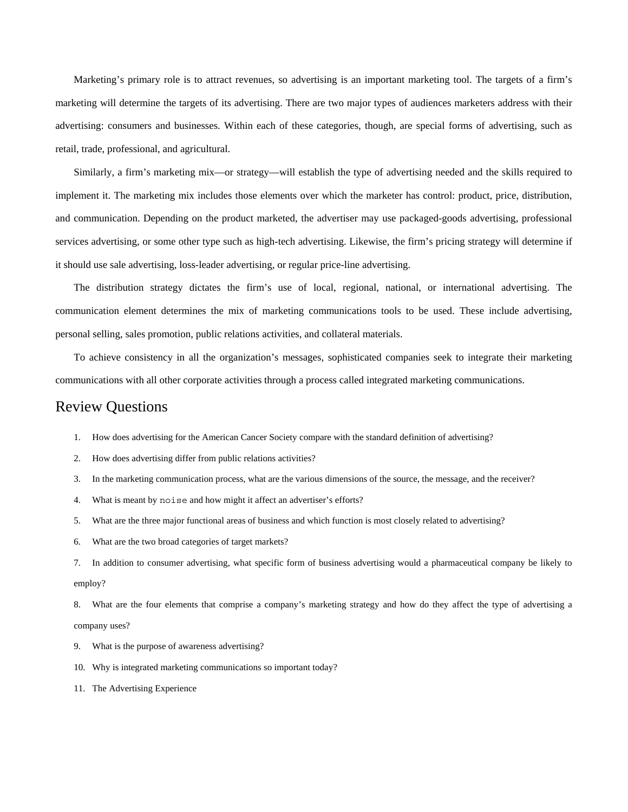Marketing's primary role is to attract revenues, so advertising is an important marketing tool. The targets of a firm's marketing will determine the targets of its advertising. There are two major types of audiences marketers address with their advertising: consumers and businesses. Within each of these categories, though, are special forms of advertising, such as retail, trade, professional, and agricultural.

Similarly, a firm's marketing mix—or strategy—will establish the type of advertising needed and the skills required to implement it. The marketing mix includes those elements over which the marketer has control: product, price, distribution, and communication. Depending on the product marketed, the advertiser may use packaged-goods advertising, professional services advertising, or some other type such as high-tech advertising. Likewise, the firm's pricing strategy will determine if it should use sale advertising, loss-leader advertising, or regular price-line advertising.

The distribution strategy dictates the firm's use of local, regional, national, or international advertising. The communication element determines the mix of marketing communications tools to be used. These include advertising, personal selling, sales promotion, public relations activities, and collateral materials.

To achieve consistency in all the organization's messages, sophisticated companies seek to integrate their marketing communications with all other corporate activities through a process called integrated marketing communications.

## Review Questions

- 1. How does advertising for the American Cancer Society compare with the standard definition of advertising?
- 2. How does advertising differ from public relations activities?
- 3. In the marketing communication process, what are the various dimensions of the source, the message, and the receiver?
- 4. What is meant by noise and how might it affect an advertiser's efforts?
- 5. What are the three major functional areas of business and which function is most closely related to advertising?
- 6. What are the two broad categories of target markets?
- 7. In addition to consumer advertising, what specific form of business advertising would a pharmaceutical company be likely to employ?
- 8. What are the four elements that comprise a company's marketing strategy and how do they affect the type of advertising a company uses?
- 9. What is the purpose of awareness advertising?
- 10. Why is integrated marketing communications so important today?
- 11. The Advertising Experience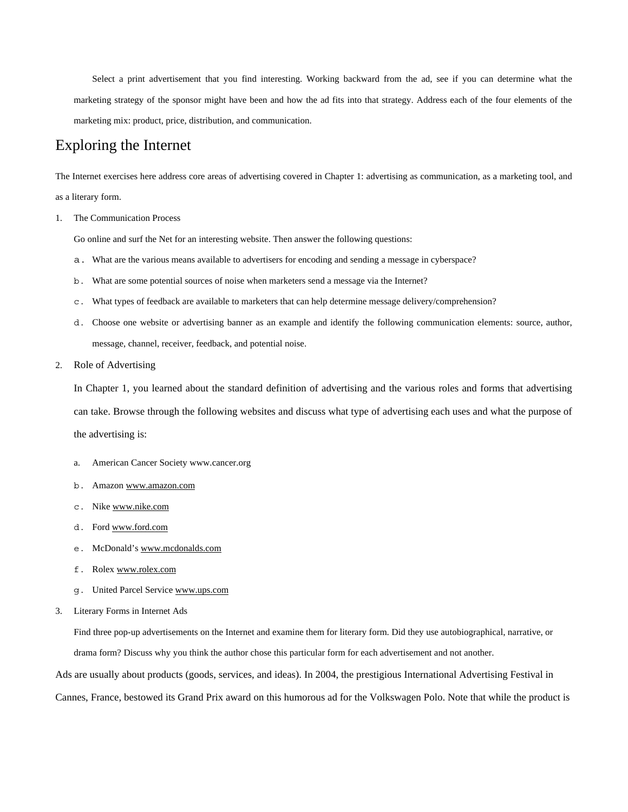Select a print advertisement that you find interesting. Working backward from the ad, see if you can determine what the marketing strategy of the sponsor might have been and how the ad fits into that strategy. Address each of the four elements of the marketing mix: product, price, distribution, and communication.

## Exploring the Internet

The Internet exercises here address core areas of advertising covered in Chapter 1: advertising as communication, as a marketing tool, and as a literary form.

1. The Communication Process

Go online and surf the Net for an interesting website. Then answer the following questions:

- a. What are the various means available to advertisers for encoding and sending a message in cyberspace?
- b. What are some potential sources of noise when marketers send a message via the Internet?
- c. What types of feedback are available to marketers that can help determine message delivery/comprehension?
- d. Choose one website or advertising banner as an example and identify the following communication elements: source, author, message, channel, receiver, feedback, and potential noise.
- 2. Role of Advertising

In Chapter 1, you learned about the standard definition of advertising and the various roles and forms that advertising can take. Browse through the following websites and discuss what type of advertising each uses and what the purpose of the advertising is:

- a. American Cancer Society www.cancer.org
- b. Amazon www.amazon.com
- c. Nike www.nike.com
- d. Ford www.ford.com
- e. McDonald's www.mcdonalds.com
- f. Rolex www.rolex.com
- g. United Parcel Service www.ups.com
- 3. Literary Forms in Internet Ads

 Find three pop-up advertisements on the Internet and examine them for literary form. Did they use autobiographical, narrative, or drama form? Discuss why you think the author chose this particular form for each advertisement and not another.

Ads are usually about products (goods, services, and ideas). In 2004, the prestigious International Advertising Festival in Cannes, France, bestowed its Grand Prix award on this humorous ad for the Volkswagen Polo. Note that while the product is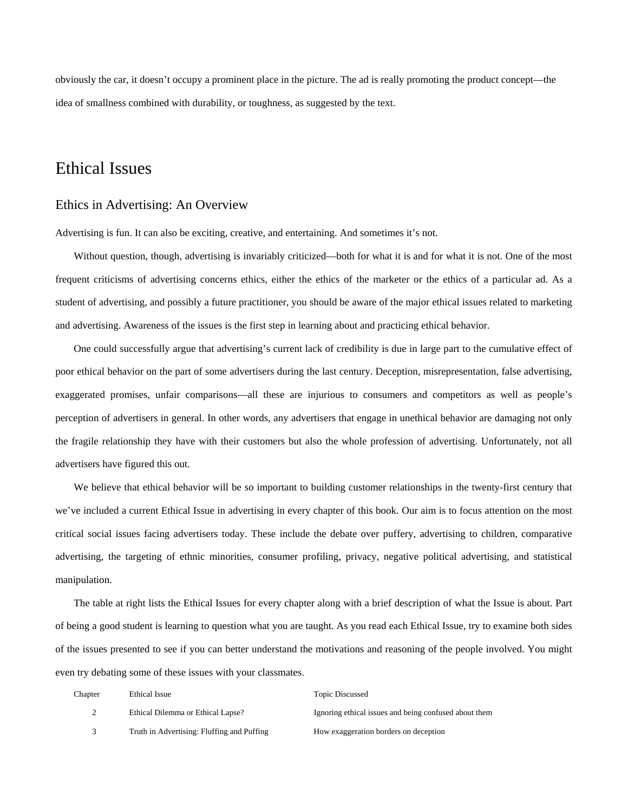obviously the car, it doesn't occupy a prominent place in the picture. The ad is really promoting the product concept—the idea of smallness combined with durability, or toughness, as suggested by the text.

# Ethical Issues

### Ethics in Advertising: An Overview

Advertising is fun. It can also be exciting, creative, and entertaining. And sometimes it's not.

Without question, though, advertising is invariably criticized—both for what it is and for what it is not. One of the most frequent criticisms of advertising concerns ethics, either the ethics of the marketer or the ethics of a particular ad. As a student of advertising, and possibly a future practitioner, you should be aware of the major ethical issues related to marketing and advertising. Awareness of the issues is the first step in learning about and practicing ethical behavior.

One could successfully argue that advertising's current lack of credibility is due in large part to the cumulative effect of poor ethical behavior on the part of some advertisers during the last century. Deception, misrepresentation, false advertising, exaggerated promises, unfair comparisons—all these are injurious to consumers and competitors as well as people's perception of advertisers in general. In other words, any advertisers that engage in unethical behavior are damaging not only the fragile relationship they have with their customers but also the whole profession of advertising. Unfortunately, not all advertisers have figured this out.

We believe that ethical behavior will be so important to building customer relationships in the twenty-first century that we've included a current Ethical Issue in advertising in every chapter of this book. Our aim is to focus attention on the most critical social issues facing advertisers today. These include the debate over puffery, advertising to children, comparative advertising, the targeting of ethnic minorities, consumer profiling, privacy, negative political advertising, and statistical manipulation.

The table at right lists the Ethical Issues for every chapter along with a brief description of what the Issue is about. Part of being a good student is learning to question what you are taught. As you read each Ethical Issue, try to examine both sides of the issues presented to see if you can better understand the motivations and reasoning of the people involved. You might even try debating some of these issues with your classmates.

| Chapter | Ethical Issue                              | <b>Topic Discussed</b>                                |
|---------|--------------------------------------------|-------------------------------------------------------|
|         | Ethical Dilemma or Ethical Lapse?          | Ignoring ethical issues and being confused about them |
| 3       | Truth in Advertising: Fluffing and Puffing | How exaggeration borders on deception                 |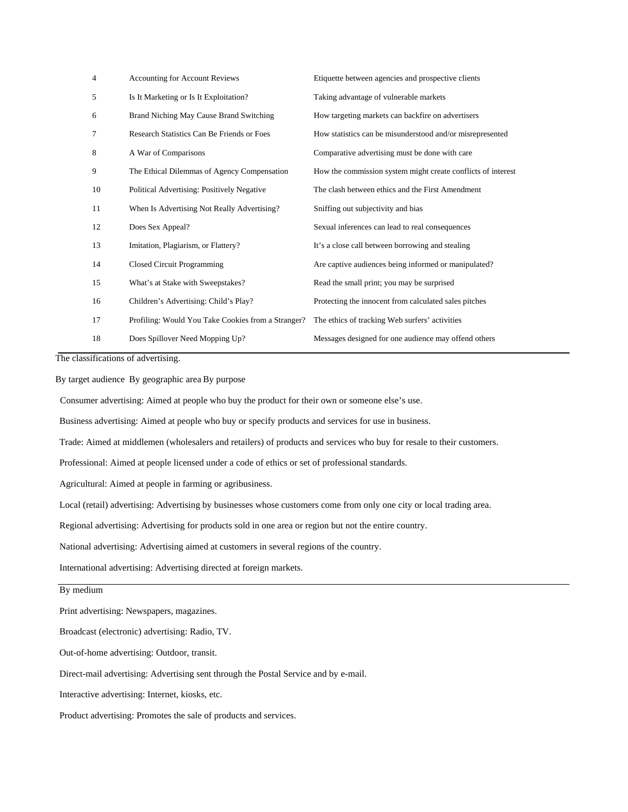| 4  | <b>Accounting for Account Reviews</b>              | Etiquette between agencies and prospective clients           |
|----|----------------------------------------------------|--------------------------------------------------------------|
| 5  | Is It Marketing or Is It Exploitation?             | Taking advantage of vulnerable markets                       |
| 6  | Brand Niching May Cause Brand Switching            | How targeting markets can backfire on advertisers            |
| 7  | Research Statistics Can Be Friends or Foes         | How statistics can be misunderstood and/or misrepresented    |
| 8  | A War of Comparisons                               | Comparative advertising must be done with care               |
| 9  | The Ethical Dilemmas of Agency Compensation        | How the commission system might create conflicts of interest |
| 10 | Political Advertising: Positively Negative         | The clash between ethics and the First Amendment             |
| 11 | When Is Advertising Not Really Advertising?        | Sniffing out subjectivity and bias                           |
| 12 | Does Sex Appeal?                                   | Sexual inferences can lead to real consequences              |
| 13 | Imitation, Plagiarism, or Flattery?                | It's a close call between borrowing and stealing             |
| 14 | Closed Circuit Programming                         | Are captive audiences being informed or manipulated?         |
| 15 | What's at Stake with Sweepstakes?                  | Read the small print; you may be surprised                   |
| 16 | Children's Advertising: Child's Play?              | Protecting the innocent from calculated sales pitches        |
| 17 | Profiling: Would You Take Cookies from a Stranger? | The ethics of tracking Web surfers' activities               |
| 18 | Does Spillover Need Mopping Up?                    | Messages designed for one audience may offend others         |
|    |                                                    |                                                              |

The classifications of advertising.

By target audience By geographic area By purpose

Consumer advertising: Aimed at people who buy the product for their own or someone else's use.

Business advertising: Aimed at people who buy or specify products and services for use in business.

Trade: Aimed at middlemen (wholesalers and retailers) of products and services who buy for resale to their customers.

Professional: Aimed at people licensed under a code of ethics or set of professional standards.

Agricultural: Aimed at people in farming or agribusiness.

Local (retail) advertising: Advertising by businesses whose customers come from only one city or local trading area.

Regional advertising: Advertising for products sold in one area or region but not the entire country.

National advertising: Advertising aimed at customers in several regions of the country.

International advertising: Advertising directed at foreign markets.

By medium

Print advertising: Newspapers, magazines.

Broadcast (electronic) advertising: Radio, TV.

Out-of-home advertising: Outdoor, transit.

Direct-mail advertising: Advertising sent through the Postal Service and by e-mail.

Interactive advertising: Internet, kiosks, etc.

Product advertising: Promotes the sale of products and services.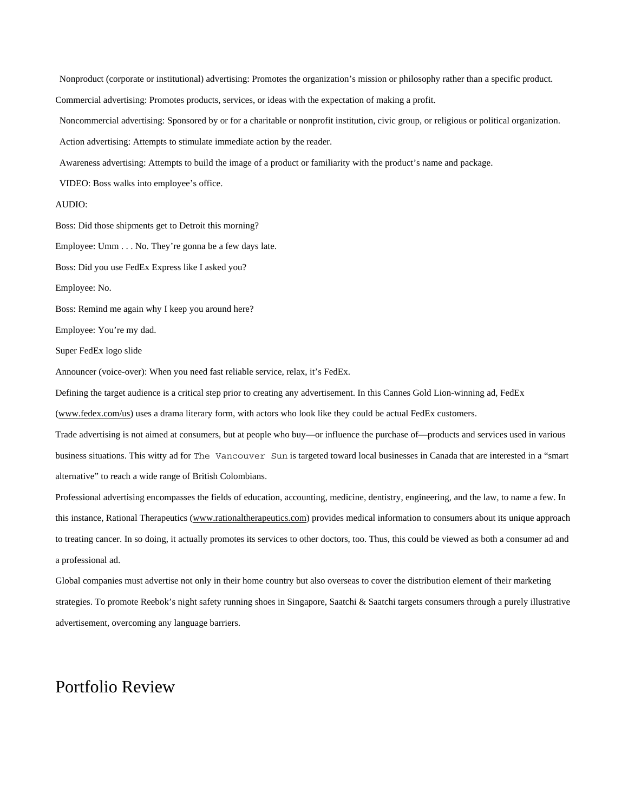Nonproduct (corporate or institutional) advertising: Promotes the organization's mission or philosophy rather than a specific product. Commercial advertising: Promotes products, services, or ideas with the expectation of making a profit. Noncommercial advertising: Sponsored by or for a charitable or nonprofit institution, civic group, or religious or political organization.

Action advertising: Attempts to stimulate immediate action by the reader.

Awareness advertising: Attempts to build the image of a product or familiarity with the product's name and package.

VIDEO: Boss walks into employee's office.

#### AUDIO:

Boss: Did those shipments get to Detroit this morning?

Employee: Umm . . . No. They're gonna be a few days late.

Boss: Did you use FedEx Express like I asked you?

Employee: No.

Boss: Remind me again why I keep you around here?

Employee: You're my dad.

Super FedEx logo slide

Announcer (voice-over): When you need fast reliable service, relax, it's FedEx.

Defining the target audience is a critical step prior to creating any advertisement. In this Cannes Gold Lion-winning ad, FedEx

(www.fedex.com/us) uses a drama literary form, with actors who look like they could be actual FedEx customers.

Trade advertising is not aimed at consumers, but at people who buy—or influence the purchase of—products and services used in various business situations. This witty ad for The Vancouver Sun is targeted toward local businesses in Canada that are interested in a "smart alternative" to reach a wide range of British Colombians.

Professional advertising encompasses the fields of education, accounting, medicine, dentistry, engineering, and the law, to name a few. In this instance, Rational Therapeutics (www.rationaltherapeutics.com) provides medical information to consumers about its unique approach to treating cancer. In so doing, it actually promotes its services to other doctors, too. Thus, this could be viewed as both a consumer ad and a professional ad.

Global companies must advertise not only in their home country but also overseas to cover the distribution element of their marketing strategies. To promote Reebok's night safety running shoes in Singapore, Saatchi & Saatchi targets consumers through a purely illustrative advertisement, overcoming any language barriers.

# Portfolio Review